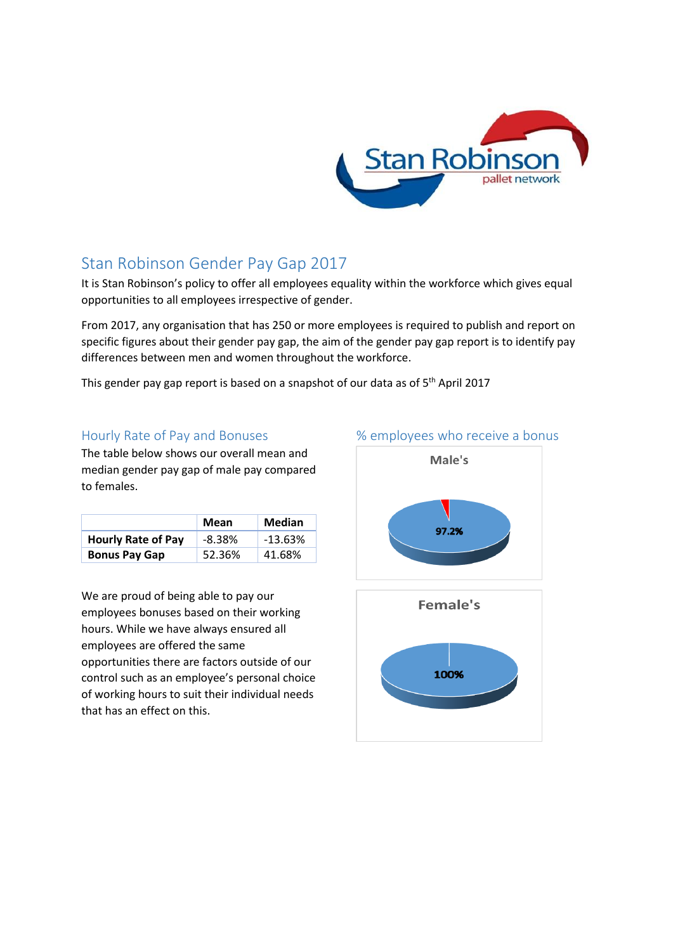

# Stan Robinson Gender Pay Gap 2017

It is Stan Robinson's policy to offer all employees equality within the workforce which gives equal opportunities to all employees irrespective of gender.

From 2017, any organisation that has 250 or more employees is required to publish and report on specific figures about their gender pay gap, the aim of the gender pay gap report is to identify pay differences between men and women throughout the workforce.

This gender pay gap report is based on a snapshot of our data as of 5<sup>th</sup> April 2017

### Hourly Rate of Pay and Bonuses

The table below shows our overall mean and median gender pay gap of male pay compared to females.

|                           | Mean      | Median    |
|---------------------------|-----------|-----------|
| <b>Hourly Rate of Pay</b> | $-8.38\%$ | $-13.63%$ |
| <b>Bonus Pay Gap</b>      | 52.36%    | 41.68%    |

We are proud of being able to pay our employees bonuses based on their working hours. While we have always ensured all employees are offered the same opportunities there are factors outside of our control such as an employee's personal choice of working hours to suit their individual needs that has an effect on this.

# Male's 97.2% Female's 100%

#### % employees who receive a bonus